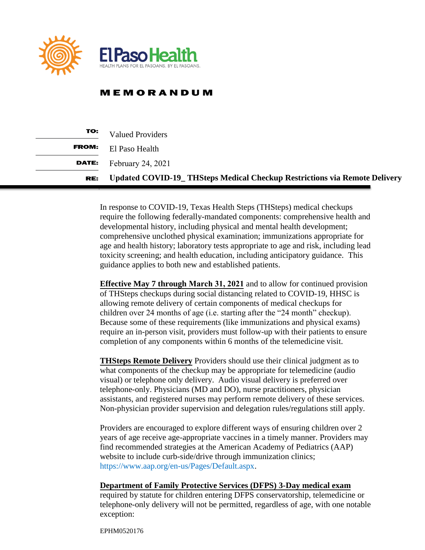

## **MEMORANDUM**

| TO:   | <b>Valued Providers</b>                                                           |
|-------|-----------------------------------------------------------------------------------|
| FROM: | El Paso Health                                                                    |
| DATE: | February 24, 2021                                                                 |
| RE:   | <b>Updated COVID-19_ THSteps Medical Checkup Restrictions via Remote Delivery</b> |

In response to COVID-19, Texas Health Steps (THSteps) medical checkups require the following federally-mandated components: comprehensive health and developmental history, including physical and mental health development; comprehensive unclothed physical examination; immunizations appropriate for age and health history; laboratory tests appropriate to age and risk, including lead toxicity screening; and health education, including anticipatory guidance. This guidance applies to both new and established patients.

**Effective May 7 through March 31, 2021** and to allow for continued provision of THSteps checkups during social distancing related to COVID-19, HHSC is allowing remote delivery of certain components of medical checkups for children over 24 months of age (i.e. starting after the "24 month" checkup). Because some of these requirements (like immunizations and physical exams) require an in-person visit, providers must follow-up with their patients to ensure completion of any components within 6 months of the telemedicine visit.

**THSteps Remote Delivery** Providers should use their clinical judgment as to what components of the checkup may be appropriate for telemedicine (audio visual) or telephone only delivery. Audio visual delivery is preferred over telephone-only. Physicians (MD and DO), nurse practitioners, physician assistants, and registered nurses may perform remote delivery of these services. Non-physician provider supervision and delegation rules/regulations still apply.

Providers are encouraged to explore different ways of ensuring children over 2 years of age receive age-appropriate vaccines in a timely manner. Providers may find recommended strategies at the American Academy of Pediatrics (AAP) website to include curb-side/drive through immunization clinics; [https://www.aap.org/en-us/Pages/Default.aspx.](https://www.aap.org/en-us/Pages/Default.aspx)

## **Department of Family Protective Services (DFPS) 3-Day medical exam**

required by statute for children entering DFPS conservatorship, telemedicine or telephone-only delivery will not be permitted, regardless of age, with one notable exception:

EPHM0520176